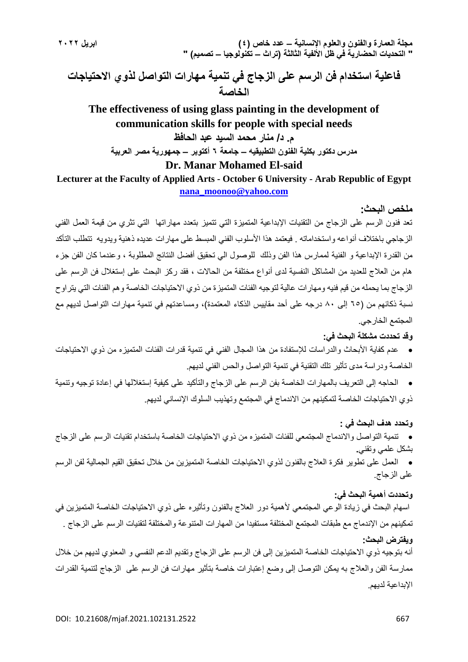**فاعلية استخدام فن الرسم على الزجاج في تنمية مهارات التواصل لذوي االحتياجات الخاصة**

**The effectiveness of using glass painting in the development of communication skills for people with special needs م. د/ منار محمد السيد عبد الحافظ مدرس دكتور بكلية الفنون التطبيقيه – جامعة 6 أكتوبر – جمهورية مصر العربية Dr. Manar Mohamed El-said**

**Lecturer at the Faculty of Applied Arts - October 6 University - Arab Republic of Egypt [nana\\_moonoo@yahoo.com](mailto:nana_moonoo@yahoo.com)**

#### **ملخص البحث:**

تعد فنون الرسم على الزجاج من التقنيات اإلبداعية المتميزة التي تتميز بتعدد مهاراتها التي تثري من قيمة العمل الفني الز جاجي باختلاف أنواعه واستخداماته . فيعتمد هذا الأسلوب الفني المبسط على مهار ات عديده ذهنية ويدويه تتطلب التأكد من القدرة اإلبداعية و الفنية لممارس هذا الفن وذلك للوصول الي تحقيق أفضل النتائج المطلوبة ، وعندما كان الفن جزء هام من العالج للعديد من المشاكل النفسية لدى أنواع مختلفة من الحاالت ، فقد ركز البحث على إستغالل فن الرسم على الزجاج بما يحمله من قيم فنيه ومهارات عالية لتوجيه الفئات المتميزة من ذوي االحتياجات الخاصة وهم الفئات التي يتراوح نسبة ذكائهم من (٦٥ إلى ٨٠ درجه على أحد مقاييس الذكاء المعتمدة)، ومساعدتهم في تنمية مهارات التواصل لديهم مع المجتمع الخارجي.

#### **وقد تحددت مشكلة البحث في:**

 عدم كفاية األبحاث والدراسات لإلستفادة من هذا المجال الفني في تنمية قدرات الفئات المتميزه من ذوي االحتياجات الخاصة ودراسة مدى تأثير تلك التقنية في تنمية التواصل والحس الفني لديهم.

 الحاجه إلى التعريف بالمهارات الخاصة بفن الرسم على الزجاج والتأكيد على كيفية إستغاللها في إعادة توجيه وتنمية ذوي االحتياجات الخاصة لتمكينهم من االندماج في المجتمع وتهذيب السلوك اإلنساني لديهم.

#### **وتحدد هدف البحث في :**

 تنمية التواصل واالندماج المجتمعي للفئات المتميزه من ذوي االحتياجات الخاصة باستخدام تقنيات الرسم على الزجاج بشكل علمي وتقني**.**

 العمل على تطوير فكرة العالج بالفنون لذوي االحتياجات الخاصة المتميزين من خالل تحقيق القيم الجمالية لفن الرسم على الزجاج.

#### **وتحددت أهمية البحث في:**

اسهام البحث في زيادة الوعي المجتمعي ألهمية دور العالج بالفنون وتأثيره على ذوي االحتياجات الخاصة المتميزين في تمكينهم من اإلندماج مع طبقات المجتمع المختلفة مستفيدا من المهارات المتنوعة والمختلفة لتقنيات الرسم على الزجاج . **ويفترض البحث:** 

أنه بتوجيه ذوي االحتياجات الخاصة المتميزين إلى فن الرسم على الزجاج وتقديم الدعم النفسي و المعنوي لديهم من خالل ممارسة الفن والعالج به يمكن التوصل إلى وضع إعتبارات خاصة بتأثير مهارات فن الرسم على الزجاج لتنمية القدرات اإلبداعية لديهم.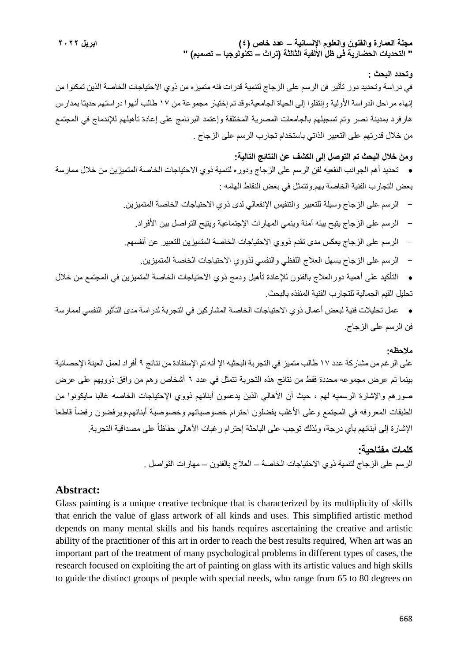#### **وتحدد البحث :**

في دراسة وتحديد دور تأثير فن الرسم على الزجاج لتنمية قدرات فئه متميزه من ذوي االحتياجات الخاصة الذين تمكنوا من إنهاء مراحل الدراسة األولية وإنتقلوا إلى الحياة الجامعية،وقد تم إختيار مجموعة من 17 طالب أنهوا دراستهم حديثا بمدارس هارفرد بمدينة نصر وتم تسجيلهم بالجامعات المصرية المختلفة وإعتمد البرنامج على إعادة تأهيلهم لإلندماج في المجتمع من خالل قدرتهم على التعبير الذاتي باستخدام تجارب الرسم على الزجاج .

# **ومن خالل البحث تم التوصل إلى الكشف عن النتائج التالية:**

 تحديد أهم الجوانب النفعيه لفن الرسم على الزجاج ودوره لتنمية ذوي االحتياجات الخاصة المتميزين من خالل ممارسة بعض التجارب الفنية الخاصة بهم.وتتمثل في بعض النقاط الهامه :

- الرسم على الزجاج وسيلة للتعبير والتنفيس اإلنفعالي لدى ذوي االحتياجات الخاصة المتميزين.

- الرسم على الزجاج يتيح بيئه آمنة وينمي المهارات اإلجتماعية ويتيح التواصل بين األفراد.
- الرسم على الزجاج يعكس مدى تقدم ذووي االحتياجات الخاصة المتميزين للتعبير عن أنفسهم.
	- الرسم على الزجاج يسهل العالج اللفظي والنفسي لذووي االحتياجات الخاصة المتميزين.
- التأكيد على أهمية دورالعالج بالفنون لإلعادة تأهيل ودمج ذوي االحتياجات الخاصة المتميزين في المجتمع من خالل تحليل القيم الجمالية للتجارب الفنية المنفذه بالبحث.

 عمل تحليالت فنية لبعض أعمال ذوي االحتياجات الخاصة المشاركين في التجربة لدراسة مدى التأثير النفسي لممارسة فن الرسم على الزجاج.

#### **مالحظه:**

على الرغم من مشاركة عدد 17 طالب متميز في التجربة البحثيه الإ أنه تم الإستفادة من نتائج ٩ أفراد لعمل العينة الإحصائية بينما تم عرض مجموعه محددة فقط من نتائج هذه التجربة تتمثل في عدد 6 أشخاص وهم من وافق ذوويهم على عرض صورهم والإشارة الرسميه لهم ، حيث أن الأهالي الذين يدعمون أبنائهم ذووي الإحتياجات الخاصه غالبا مايكونوا من الطبقات المعروفه في المجتمع وعلى الأغلب يفضلون احترام خصوصياتهم وخصوصية أبنائهم،ويرفضون رفضاً قاطعا الإشارة إلى أبنائهم بأي درجة، ولذلك توجب على الباحثة إحترام رغبات الأهالي حفاظاً على مصداقية التجربة.

#### **كلمات مفتاحية:**

الرسم على الزجاج لتنمية ذوي االحتياجات الخاصة – العالج بالفنون – مهارات التواصل .

# **Abstract:**

Glass painting is a unique creative technique that is characterized by its multiplicity of skills that enrich the value of glass artwork of all kinds and uses. This simplified artistic method depends on many mental skills and his hands requires ascertaining the creative and artistic ability of the practitioner of this art in order to reach the best results required, When art was an important part of the treatment of many psychological problems in different types of cases, the research focused on exploiting the art of painting on glass with its artistic values and high skills to guide the distinct groups of people with special needs, who range from 65 to 80 degrees on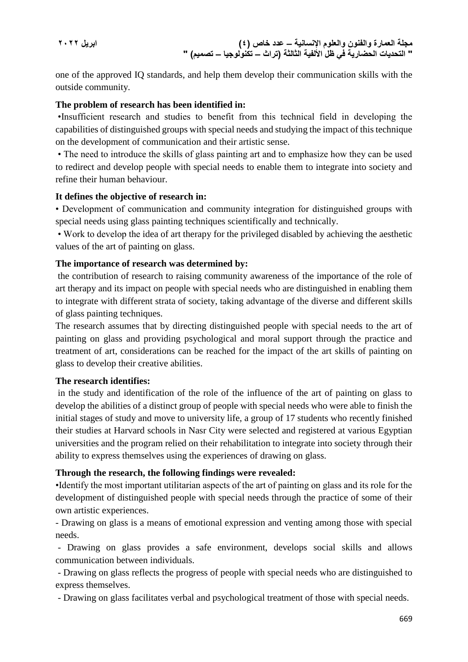one of the approved IQ standards, and help them develop their communication skills with the outside community.

# **The problem of research has been identified in:**

•Insufficient research and studies to benefit from this technical field in developing the capabilities of distinguished groups with special needs and studying the impact of this technique on the development of communication and their artistic sense.

• The need to introduce the skills of glass painting art and to emphasize how they can be used to redirect and develop people with special needs to enable them to integrate into society and refine their human behaviour.

# **It defines the objective of research in:**

• Development of communication and community integration for distinguished groups with special needs using glass painting techniques scientifically and technically.

• Work to develop the idea of art therapy for the privileged disabled by achieving the aesthetic values of the art of painting on glass.

# **The importance of research was determined by:**

the contribution of research to raising community awareness of the importance of the role of art therapy and its impact on people with special needs who are distinguished in enabling them to integrate with different strata of society, taking advantage of the diverse and different skills of glass painting techniques.

The research assumes that by directing distinguished people with special needs to the art of painting on glass and providing psychological and moral support through the practice and treatment of art, considerations can be reached for the impact of the art skills of painting on glass to develop their creative abilities.

## **The research identifies:**

in the study and identification of the role of the influence of the art of painting on glass to develop the abilities of a distinct group of people with special needs who were able to finish the initial stages of study and move to university life, a group of 17 students who recently finished their studies at Harvard schools in Nasr City were selected and registered at various Egyptian universities and the program relied on their rehabilitation to integrate into society through their ability to express themselves using the experiences of drawing on glass.

# **Through the research, the following findings were revealed:**

•Identify the most important utilitarian aspects of the art of painting on glass and its role for the development of distinguished people with special needs through the practice of some of their own artistic experiences.

- Drawing on glass is a means of emotional expression and venting among those with special needs.

- Drawing on glass provides a safe environment, develops social skills and allows communication between individuals.

- Drawing on glass reflects the progress of people with special needs who are distinguished to express themselves.

- Drawing on glass facilitates verbal and psychological treatment of those with special needs.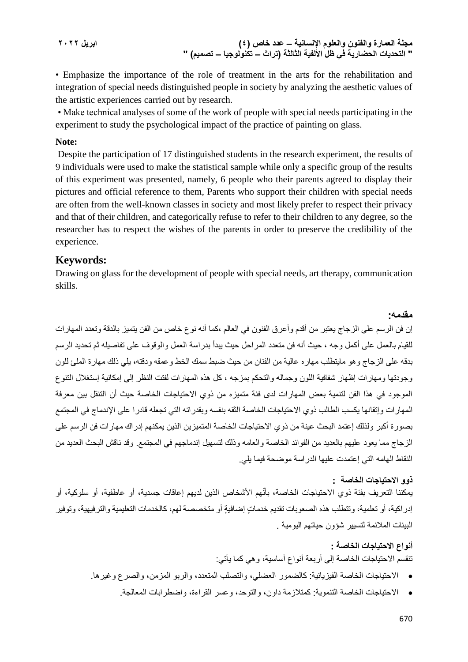**مجلة العمارة والفنون والعلوم اإلنسانية – عدد خاص )4( ابريل 2022 " التحديات الحضارية في ظل األلفية الثالثة )تراث – تكنولوجيا – تصميم( "**

• Emphasize the importance of the role of treatment in the arts for the rehabilitation and integration of special needs distinguished people in society by analyzing the aesthetic values of the artistic experiences carried out by research.

• Make technical analyses of some of the work of people with special needs participating in the experiment to study the psychological impact of the practice of painting on glass.

# **Note:**

Despite the participation of 17 distinguished students in the research experiment, the results of 9 individuals were used to make the statistical sample while only a specific group of the results of this experiment was presented, namely, 6 people who their parents agreed to display their pictures and official reference to them, Parents who support their children with special needs are often from the well-known classes in society and most likely prefer to respect their privacy and that of their children, and categorically refuse to refer to their children to any degree, so the researcher has to respect the wishes of the parents in order to preserve the credibility of the experience.

# **Keywords:**

Drawing on glass for the development of people with special needs, art therapy, communication skills.

إن فن الرسم على الزجاج يعتبر من أقدم وأعرق الفنون في العالم ،كما أنه نوع خاص من الفن يتميز بالدقة وتعدد المهارات للقيام بالعمل على أكمل وجه ، حيث أنه فن متعدد المراحل حيث يبدأ بدراسة العمل والوقوف على تفاصيله ثم تحديد الرسم بدقه على الزجاج وهو مايتطلب مهاره عالية من الفنان من حيث ضبط سمك الخط وعمقه ودقته، يلي ذلك مهارة الملئ للون وجودتها ومهارات إظهار شفافية اللون وجماله والتحكم بمزجه ، كل هذه المهارات لفتت النظر إلى إمكانية إستغالل التنوع الموجود في هذا الفن لتنمية بعض المهارات لدى فئة متميزه من ذوي االحتياجات الخاصة حيث أن التنقل بين معرفة المهارات وإتقانها يكسب الطالب ذوي االحتياجات الخاصة الثقه بنفسه وبقدراته التي تجعله قادرا على اإلندماج في المجتمع بصورة أكبر ولذلك إعتمد البحث عينة من ذوي االحتياجات الخاصة المتميزين الذين يمكنهم إدراك مهارات فن الرسم على الزجاج مما يعود عليهم بالعديد من الفوائد الخاصة والعامه وذلك لتسهيل إندماجهم في المجتمع. وقد ناقش البحث العديد من النقاط الهامه التي إعتمدت عليها الدراسة موضحة فيما يلي.

#### **ذوو االحتياجات الخاصة :**

**مقدمه:**

يمكننا التعريف بفئة ذوي الاحتياجات الخاصة، بأنّهم الأشخاص الذين لديهم إعاقات جسدية، أو عاطفية، أو سلوكية، أو إدراكية، أو تعلمية، وتتطلب هذه الصعوبات تقديم خدماتٍ إضافيةٍ أو متخصصة لهم، كالخدمات التعليمية والترفيهية، وتوفير البيئات المالئمة لتسيير شؤون حياتهم اليومية .

# **أنواع االحتياجات الخاصة :** تنقسم االحتياجات الخاصة إلى أربعة أنواع أساسية، وهي كما يأتي:

- االحتياجات الخاصة الفيزيائية: كالضمور العضلي، والتصلب المتعدد، والربو المزمن، والصرع وغيرها.
	- االحتياجات الخاصة التنموية: كمتالزمة داون، والتوحد، وعسر القراءة، واضطرابات المعالجة.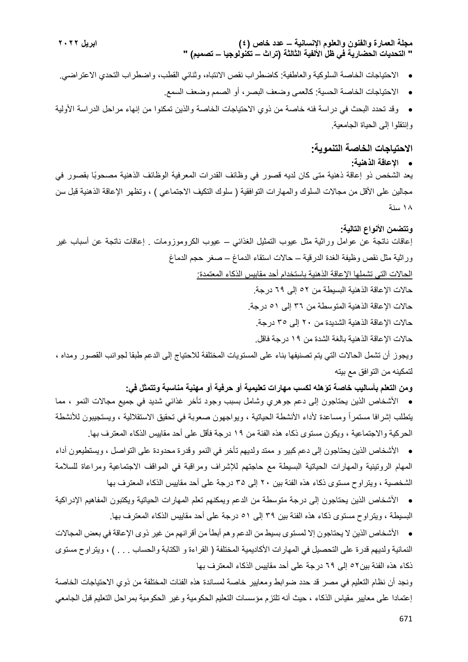- االحتياجات الخاصة السلوكية والعاطفية: كاضطراب نقص االنتباه، وثنائي القطب، واضطراب التحدي االعتراضي.
	- االحتياجات الخاصة الحسية: كالعمى وضعف البصر، أو الصمم وضعف السمع.
- وقد تحدد البحث في دراسة فئه خاصة من ذوي االحتياجات الخاصة والذين تمكنوا من إنهاء مراحل الدراسة األولية وإنتقلوا إلى الحياة الجامعية.

# **االحتياجات الخاصة التنموية:**

#### **اإلعاقة الذهنية:**

يعد الشخص ذو إعاقة ذهنية متى كان لديه قصور في وظائف القدرات المعرفية الوظائف الذهنية مصحوًبا بقصور في مجالين على الأقل من مجالات السلوك والمهارات التوافقية ( سلوك التكيف الاجتماعي ) ، وتظهر الإعاقة الذهنية قبل سن 18 سنة

## **وتتضمن األنواع التالية:**

إعاقات ناتجة عن عوامل وراثية مثل عيوب التمثيل الغذائي – عيوب الكروموزومات . إعاقات ناتجة عن أسباب غير وراثية مثل نقص وظيفة الغدة الدرقية – حاالت استقاء الدماغ – صغر حجم الدماغ

الحاالت التي تشملها اإلعاقة الذهنية باستخدام أحد مقابيس الذكاء المعتمدة:

- حاالت اإلعاقة الذهنية البسيطة من 52 إلى 69 درجة.
- حاالت اإلعاقة الذهنية المتوسطة من 36 إلى 51 درجة.
- حاالت اإلعاقة الذهنية الشديدة من 20 إلى 35 درجة.

حاالت اإلعاقة الذهنية بالغة الشدة من 19 درجة فاقل.

ويجوز أن تشمل الحاالت التي يتم تصنيفها بناء على المستويات المختلفة لالحتياج إلى الدعم طبقا لجوانب القصور ومداه ، لتمكينه من التوافق مع بيته

**ومن التعلم بأساليب خاصة تؤهله لكسب مهارات تعليمية أو حرفية أو مهنية مناسبة وتتمثل في:**

 األشخاص الذين يحتاجون إلى دعم جوهري وشامل بسبب وجود تأخر غذائي شديد في جميع مجاالت النمو ، مما يتطلب إشرافا مستمراً ومساعدة لأداء الأنشطة الحياتية ، ويواجهون صعوبة في تحقيق الاستقلالية ، ويستجيبون للأنشطة الحركية واالجتماعية ، ويكون مستوى ذكاء هذه الفئة من 19 درجة فأقل على أحد مقاييس الذكاء المعترف بها.

 األشخاص الذين يحتاجون إلى دعم كبير و ممتد ولديهم تأخر في النمو وقدرة محدودة على التواصل ، ويستطيعون أداء المهام الروتينية والمهارات الحياتية البسيطة مع حاجتهم لإلشراف ومراقبة في المواقف االجتماعية ومراعاة للسالمة الشخصية ، ويتراوح مستوى ذكاء هذه الفئة بين 20 إلى 3۵ درجة على أحد مقاييس الذكاء المعترف بها

 األشخاص الذين يحتاجون إلى درجة متوسطة من الدعم ويمكنهم تعلم المهارات الحياتية ويكتبون المفاهيم اإلدراكية البسيطة ، ويتراوح مستوى ذكاء هذه الفئة بين 39 إلى 51 درجة على أحد مقاييس الذكاء المعترف بها.

 األشخاص الذين ال يحتاجون إال لمستوى بسيط من الدعم وهم أبطأ من أقرانهم من غير ذوى اإلعاقة في بعض المجاالت النمائية ولديهم قدرة على التحصيل في المهارات الأكاديمية المختلفة ( القراءة و الكتابة والحساب . . . ) ، ويتراوح مستوى ذكاء هذه الفئة بين52 إلى 69 درجة على أحد مقاييس الذكاء المعترف بها

ونجد أن نظام التعليم في مصر قد حدد ضوابط ومعايير خاصة لمساندة هذه الفئات المختلفة من ذوي االحتياجات الخاصة إعتمادا على معايير مقياس الذكاء ، حيث أنه تلتزم مؤسسات التعليم الحكومية وغير الحكومية بمراحل التعليم قبل الجامعي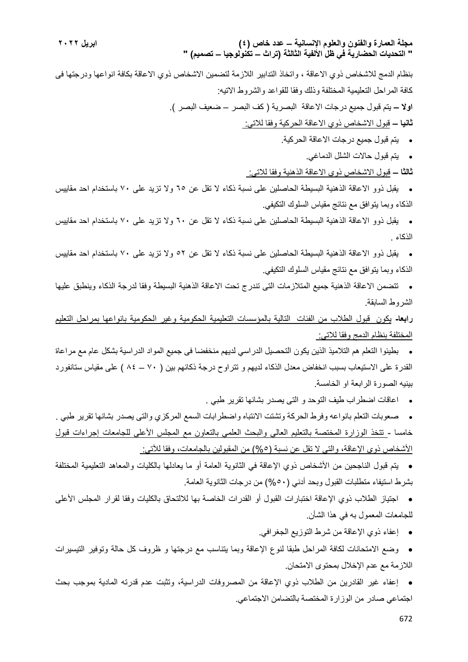بنظام الدمج لالشخاص ذوي االعاقة ، واتخاذ التدابير الالزمة لتضمين االشخاص ذوي االعاقة بكافة انواعها ودرجتها فى كافة المراحل التعليمية المختلفة وذلك وفقا للقواعد والشروط االتيه: **اوال –** يتم قبول جميع درجات االعاقة البصرية ) كف البصر – ضعيف البصر (. **ثانيا –** قبول االشخاص ذوي االعاقة الحركية وفقا لالتي:

- يتم قبول جميع درجات االعاقة الحركية.
	- يتم قبول حاالت الشلل الدماغي.
- **ثالثا –** قبول االشخاص ذوي االعاقة الذهنية وفقا لالتي:

 يقبل ذوو االعاقة الذهنية البسيطة الحاصلين على نسبة ذكاء ال تقل عن 65 وال تزيد على 70 باستخدام احد مقاييس الذكاء وبما يتوافق مع نتائج مقياس السلوك التكيفي.

- يقبل ذوو االعاقة الذهنية البسيطة الحاصلين على نسبة ذكاء ال تقل عن 60 وال تزيد على 70 باستخدام احد مقاييس الذكاء .
- يقبل ذوو االعاقة الذهنية البسيطة الحاصلين على نسبة ذكاء ال تقل عن 52 وال تزيد على 70 باستخدام احد مقاييس الذكاء وبما يتوافق مع نتائج مقياس السلوك التكيفي.
- تتضمن االعاقة الذهنية جميع المتالزمات التى تندرج تحت االعاقة الذهنية البسيطة وفقا لدرجة الذكاء وينطبق عليها الشروط السابقة.

**رابعا-** يكون قبول الطالب من الفئات التالية بالمؤسسات التعليمية الحكومية وغير الحكومية بانواعها بمراحل التعليم المختلفة بنظام الدمج وفقا لالتي:

 بطيئوا التعلم هم التالميذ الذين يكون التحصيل الدراسي لديهم منخفضا فى جميع المواد الدراسية بشكل عام مع مراعاة القدرة على الاستيعاب بسبب انخفاض معدل الذكاء لديهم و تتراوح درجة ذكائهم بين ( ٧٠ – ٨٤ ) على مقياس ستانفورد بينيه الصورة الرابعة او الخامسة.

اعاقات اضطراب طيف التوحد و التى يصدر بشانها تقرير طبي .

 صعوبات التعلم بانواعه وفرط الحركة وتشتت االنتباه واضطرابات السمع المركزي والتى يصدر بشانها تقرير طبي . خامسا - تتخذ الوزارة المختصة بالتعليم العالي والبحث العلمي بالتعاون مع المجلس األعلى للجامعات إجراءات قبول الأشخاص ذوي الإعاقة، والتي لا تقل عن نسبة (٥%) من المقبولين بالجامعات، وفقا للآتي:

 يتم قبول الناجحين من األشخاص ذوي اإلعاقة في الثانوية العامة أو ما يعادلها بالكليات والمعاهد التعليمية المختلفة بشرط استيفاء متطلبات القبول وبحد أدني )%50( من درجات الثانوية العامة.

 اجتياز الطالب ذوي اإلعاقة اختبارات القبول أو القدرات الخاصة بها لاللتحاق بالكليات وفقا لقرار المجلس األعلى للجامعات المعمول به في هذا الشأن.

إعفاء ذوي اإلعاقة من شرط التوزيع الجغرافي.

 وضع االمتحانات لكافة المراحل طبقا لنوع اإلعاقة وبما يتناسب مع درجتها و ظروف كل حالة وتوفير التيسيرات الالزمة مع عدم اإلخالل بمحتوى االمتحان.

 إعفاء غير القادرين من الطالب ذوي اإلعاقة من المصروفات الدراسية، وتثبت عدم قدرته المادية بموجب بحث اجتماعي صادر من الوزارة المختصة بالتضامن االجتماعي.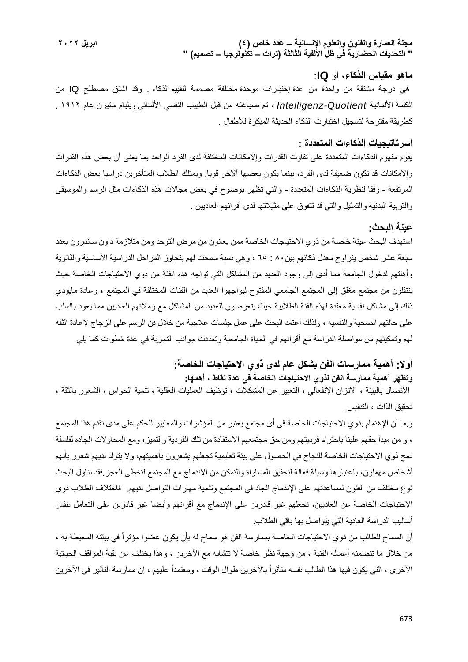#### **ماهو مقياس الذكاء**، أو **IQ**:

هي درجة مشتقة من واحدة من عدة [إختبارات موحدة](https://ar.wikipedia.org/w/index.php?title=%D8%A7%D8%AE%D8%AA%D8%A8%D8%A7%D8%B1%D8%A7%D8%AA_%D9%85%D9%88%D8%AD%D8%AF%D8%A9&action=edit&redlink=1) مختلفة مصممة لتقييم [الذكاء](https://ar.wikipedia.org/w/index.php?title=%D8%A7%D9%84%D8%B0%D9%83%D8%A7%D8%A1.&action=edit&redlink=1) [.](https://ar.wikipedia.org/w/index.php?title=%D8%A7%D9%84%D8%B0%D9%83%D8%A7%D8%A1.&action=edit&redlink=1) وقد اشتق مصطلح IQ من الكلمة [األلمانية](https://ar.wikipedia.org/wiki/%D8%A3%D9%84%D9%85%D8%A7%D9%86%D9%8A%D8%A9_(%D8%AA%D9%88%D8%B6%D9%8A%D8%AD)) *Quotient-Intelligenz* ، تم صياغته من قبل الطبيب النفسي األلماني [ويليام ستيرن](https://ar.wikipedia.org/w/index.php?title=%D9%88%D9%8A%D9%84%D9%8A%D8%A7%D9%85_%D8%B3%D8%AA%D9%8A%D8%B1%D9%86&action=edit&redlink=1) عام 1912 . كطريقة مقترحة لتسجيل اختبارت الذكاء الحديثة المبكرة لألطفال .

## **اسرتاتيجيات الذكاءات المتعددة :**

يقوم مفهوم الذكاءات المتعددة على تفاوت القدرات وإالمكانات المختلفة لدى الفرد الواحد بما يعنى أن بعض هذه القدرات وإالمكانات قد تكون ضعيفة لدى الفرد، بينما يكون بعضها آالخر قويا. ويمتلك الطالب المتأخرين دراسيا بعض الذكاءات المرتفعة - وفقا لنظرية الذكاءات المتعددة - والتي تظهر بوضوح في بعض مجاالت هذه الذكاءات مثل الرسم والموسيقى والتربية البدنية والتمثيل والتي قد تتفوق على مثيالتها لدى أقرانهم العاديين .

#### **عينة البحث:**

استهدف البحث عينة خاصة من ذوي االحتياجات الخاصة ممن يعانون من مرض التوحد ومن متالزمة داون ساندرون بعدد سبعة عشر شخص يتراوح معدل ذكائهم بين٨٠ : ٦٥ ، وهي نسبة سمحت لهم بتجاوز المراحل الدراسية الأساسية والثانوية وأهلتهم لدخول الجامعة مما أدى إلى وجود العديد من المشاكل التي تواجه هذه الفئة من ذوي االحتياجات الخاصة حيث ينتقلون من مجتمع مغلق إلى المجتمع الجامعي المفتوح ليواجهوا العديد من الفئات المختلفة في المجتمع ، وعادة مايؤدي ذلك إلى مشاكل نفسية معقدة لهذه الفئة الطالبية حيث يتعرضون للعديد من المشاكل مع زمالئهم العاديين مما يعود بالسلب على حالتهم الصحية والنفسيه ، ولذلك أعتمد البحث على عمل جلسات عالجية من خالل فن الرسم على الزجاج إلعادة الثقه لهم وتمكينهم من مواصلة الدراسة مع أقرانهم في الحياة الجامعية وتعددت جوانب التجربة في عدة خطوات كما يلي.

# **أوال: أهمية ممارسات الفن بشكل عام لدى ذوي االحتياجات الخاصة: وتظهر أهمية ممارسة الفن لذوي االحتياجات الخاصة فى عدة نقاط ، أهمها:**

االتصال بالبيئة ، االتزان اإلنفعالي ، التعبير عن المشكالت ، توظيف العمليات العقلية ، تنمية الحواس ، الشعور بالثقة ، تحقيق الذات ، التنفيس.

وبما أن اإلهتمام بذوي االحتياجات الخاصة فى أى مجتمع يعتبر من المؤشرات والمعايير للحكم على مدى تقدم هذا المجتمع ، و من مبدأ حقهم علينا باحترام فرديتهم ومن حق مجتمعهم االستفادة من تلك الفردية والتميز، ومع المحاوالت الجاده لفلسفة دمج ذوي االحتياجات الخاصة للنجاح في الحصول على بيئة تعليمية تجعلهم يشعرون بأهميتهم، وال يتولد لديهم شعور بأنهم أشخاص مهملون، باعتبارها وسيلة فعالة لتحقيق المساواة والتمكن من االندماج مع المجتمع لتخطى العجز.فقد تناول البحث نوع مختلف من الفنون لمساعدتهم على اإلندماج الجاد في المجتمع وتنمية مهارات التواصل لديهم. فاختالف الطالب ذوي االحتياجات الخاصة عن العاديين، تجعلهم غير قادرين على اإلندماج مع أقرانهم وأيضا غير قادرين على التعامل بنفس أساليب الدراسة العادية التي يتواصل بها باقي الطالب.

أن السماح للطالب من ذوي الاحتياجات الخاصة بممارسة الفن هو سماح له بأن يكون عضوا مؤثراً في بيئته ال[محيطة](https://adlat.net/showthread.php?t=390042) به ، من خلال ما تتضمنه أعماله الفنية ، من وجهة نظر خاصة لا تتشابه مع الأخرين ، وهذا يختلف عن بقية المواقف الحياتية الأخرى ، التي يكون فيها هذا الطالب نفسه متأثراً بالآخرين طوال الوقت ، ومعتمداً عليهم ، إن ممارسة التأثير في الآخرين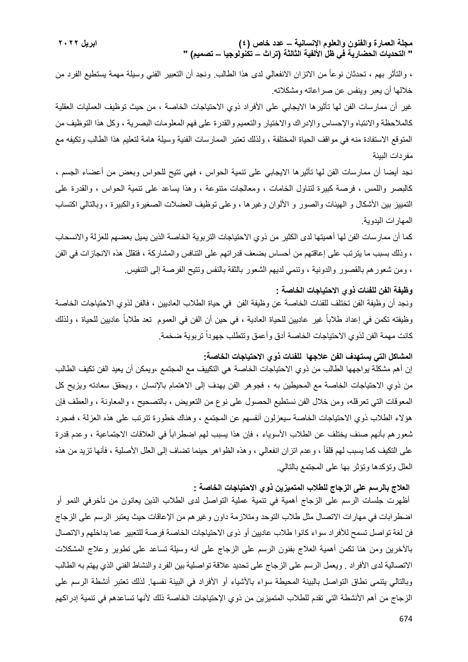، والتأثر بهم ، تحدثان نوعاً من االتزان االنفعالي لدى هذا الطالب. ونجد أن التعبير الفني وسيلة مهمة يستطيع الفرد من خاللها أن يعبر وينفس عن صراعاته ومشكالته.

غير أن ممارسات الفن لها تأثيرها الايجابي على الأفراد ذوي الاحتياجات الخاصة ، من حيث توظيف العمليات العقلية كالملاحظة والانتباه والإحساس والإدراك والاختيار والتعميم والقدرة على فهم المعلومات البصرية ، وكل هذا التوظيف من المتوقع االستفادة منه في مواقف الحياة المختلفة ، ولذلك تعتبر الممارسات الفنية وسيلة هامة لتعليم هذا الطالب وتكيفه مع مفردات البيئة

نجد أيضا أن ممارسات الفن لها تأثيرها االيجابي على تنمية الحواس ، فهي تتيح للحواس وبعض من أعضاء الجسم ، كالبصر واللمس ، فرصة كبيرة لتناول الخامات ، ومعالجات متنوعة ، وهذا يساعد على تنمية الحواس ، والقدرة على التمييز بين الأشكال و الهيئات والصور و الألوان وغيرها ، وعلى توظيف العضلات الصغيرة والكبيرة ، وبالتالي اكتساب المهارات اليدوية.

كما أن ممارسات الفن لها أهميتها لدى الكثير من ذوي الاحتياجات التربوية الخاصة الذين يميل بعضهم للعزلة والانسحاب ، وذلك بسبب ما يترتب على إعاقتهم من أحساس بضعف قدراتهم على التنافس والمشاركة ، فتقلل هذه االنجازات في الفن ، ومن شعورهم بالقصور والدونية ، وتنمي لديهم الشعور بالثقة بالنفس وتتيح الفرصة إلى التنفيس.

# **وظيفة الفن للفئات ذوي االحتياجات الخاصة :**

ونجد أن وظيفة الفن تختلف للفئات الخاصة عن وظيفة الفن في حياة الطالب العاديين ، فالفن لذوي االحتياجات الخاصة وظيفته تكمن في إعداد طالباً غير عاديين للحياة العادية ، في حين أن الفن في العموم تعد طالباً عاديين للحياة ، ولذلك كانت مهمة الفن لذوي الاحتياجات الخاصة أدق وأعمق وتتطلب جهوداً تربوية ضخمة.

#### **المشاكل التي يستهدف الفن عالجها للفئات ذوي االحتياجات الخاصة:**

إن أهم مشكلة يواجهها الطالب من ذوي االحتياجات الخاصة هي التكييف مع المجتمع ،ويمكن أن يعيد الفن تكيف الطالب من ذوي الاحتياجات الخاصـة مع [المحيطي](https://adlat.net/showthread.php?t=390042)ن به ، فجوهر الفن يهدف إلى الاهتمام بالإنسان ، ويحقق سعادته ويزيح كل المعوقات التي تعرقله، ومن خالل الفن نستطيع الحصول على نوع من التعويض ، بالتصحيح ، والمعاونة ، والعطف فإن هؤالء الطالب ذوي االحتياجات الخاصة سيعزلون أنفسهم عن المجتمع ، وهناك خطورة تترتب على هذه العزلة ، فمجرد ثنعور هم بأنهم صنف يختلف عن الطلاب الأسوياء ، فإن هذا يسبب لهم اضطراباً في العلاقات الاجتماعية ، وعدم قدرة على التكيف كما يسبب لهم قلقاً ، وعدم اتزان انفعالي ، وهذه الظواهر حينما تضاف إلى العلل األصلية ، فأنها تزيد من هذه العلل وتؤكدها وتؤثر بها على المجتمع بالتالي.

# **العالج بالرسم على الزجاج للطالب المتميزين ذوي االحتياجات الخاصة :**

أظهرت جلسات الرسم على الزجاج أهمية في تنمية عملية التواصل لدى الطالب الذين يعانون من تأخرفي النمو أو اضطرابات في مهارات الاتصال مثل طلاب التوحد ومتلازمة داون وغيرهم من الإعاقات حيث يعتبر الرسم على الزجاج فن لغة تواصل تسمح لألفراد سواء كانوا طالب عاديين أو ذوى االحتياجات الخاصة فرصة للتعبير عما بداخلهم واالتصال باآلخرين ومن هنا تكمن أهمية العالج بفنون الرسم على الزجاج على أنه وسيلة تساعد على تطوير وعالج المشكالت الاتصالية لدى الأفراد . ويعمل الرسم على الزجاج على تحديد علاقة تواصلية بين الفرد والنشاط الفني الذي يهتم به الطالب وبالتالي يتنمى نطاق التواصل بالبيئة المحيطة سواء بالأشياء أو الأفراد في البيئة نفسها. لذلك تعتبر أنشطة الرسم على الزجاج من أهم الأنشطة التي تقدم للطلاب المتميزين من ذوي الإحتياجات الخاصة ذلك لأنها تساعدهم في تنمية إدراكهم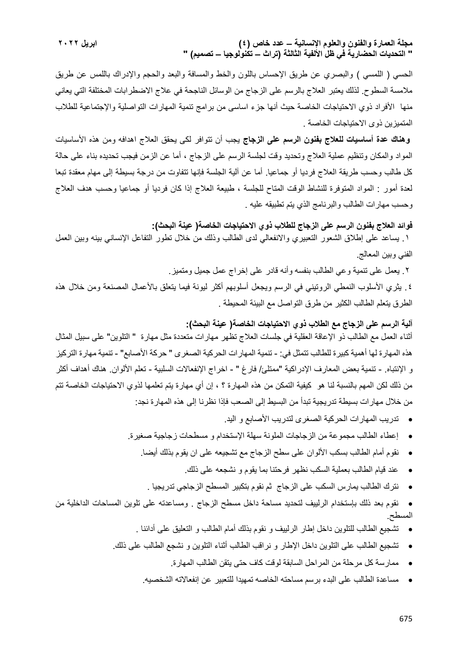الحسي ( اللمسي ) والبصري عن طريق الإحساس باللون والخط والمسافة والبعد والحجم والإدراك باللمس عن طريق مالمسة السطوح. لذلك يعتبر العالج بالرسم على الزجاج من الوسائل الناجحة في عالج االضطرابات المختلفة التي يعاني منها الأفراد ذوي الاحتياجات الخاصة حيث أنها جزء اساسى من برامج تنمية المهارات التواصلية والإجتماعية للطلاب المتميزين ذوى االحتياجات الخاصة .

**وهناك عدة أساسيات للعالج بفنون الرسم على الزجاج** يجب أن تتوافر لكى يحقق العالج اهدافه ومن هذه األساسيات المواد والمكان وتنظيم عملية العالج وتحديد وقت لجلسة الرسم على الزجاج ، أما عن الزمن فيجب تحديده بناء على حالة كل طالب وحسب طريقة العالج فرديا أو جماعيا. أما عن آلية الجلسة فإنها تتفاوت من درجة بسيطة إلى مهام معقدة تبعا لعدة أمور : المواد المتوفرة للنشاط الوقت المتاح للجلسة ، طبيعة العالج إذا كان فرديا أو جماعيا وحسب هدف العالج وحسب مهارات الطالب والبرنامج الذي يتم تطبيقه عليه .

**فوائد العالج بفنون الرسم على الزجاج للطالب ذوي االحتياجات الخاصة) عينة البحث(:**

.1 يساعد على إطالق الشعور التعبيري واالنفعالي لدى الطالب وذلك من خالل تطور التفاعل اإلنساني بينه وبين العمل الفني وبين المعالج.

.2 يعمل على تنمية وعي الطالب بنفسه وأنه قادر على إخراج عمل جميل ومتميز.

.4 يثري األسلوب النمطي الروتيني في الرسم ويجعل أسلوبهم أكثر ليونة فيما يتعلق باألعمال المصنعة ومن خالل هذه الطرق يتعلم الطالب الكثير من طرق التواصل مع البيئة المحيطة .

**آلية الرسم على الزجاج مع الطالب ذوي االحتياجات الخاصة) عينة البحث(:**

أثناء العمل مع الطالب ذو اإلعاقة العقلية في جلسات العالج تظهر مهارات متعددة مثل مهارة " التلوين" على سبيل المثال هذه المهارة لها أهمية كبيرة للطالب تتمثل في: - تنمية المهارات الحركية الصغرى " حركة األصابع" - تنمية مهارة التركيز و الإنتباه. - تنمية بعض المعارف الإدراكية "ممتلئ/ فارغ " - اخراج الإنفعالات السلبية - تعلم الألوان. هناك أهداف أكثر من ذلك لكن المهم بالنسبة لنا هو كيفية التمكن من هذه المهارة ؟ ، إن أي مهارة يتم تعلمها لذوي االحتياجات الخاصة تتم من خالل مهارات بسيطة تدريجية تبدأ من البسيط إلى الصعب فإذا نظرنا إلى هذه المهارة نجد:

- تدريب المهارات الحركية الصغرى لتدريب األصابع و اليد.
- إعطاء الطالب مجموعة من الزجاجات الملونة سهلة اإلستخدام و مسطحات زجاجية صغيرة.
	- نقوم أمام الطالب بسكب األلوان على سطح الزجاج مع تشجيعه على ان يقوم بذلك أيضا.
		- عند قيام الطالب بعملية السكب نظهر فرحتنا بما يقوم و نشجعه على ذلك.
		- نترك الطالب يمارس السكب على الزجاج ثم نقوم بتكبير المسطح الزجاجي تدريجيا .
- نقوم بعد ذلك بإستخدام الرلييف لتحديد مساحة داخل مسطح الزجاج . ومساعدته على تلوين المساحات الداخلية من المسطح.
	- تشجيع الطالب للتلوين داخل إطار الرلييف و نقوم بذلك أمام الطالب و التعليق على أدائنا .
	- تشجيع الطالب على التلوين داخل اإلطار و نراقب الطالب أثناء التلوين و نشجع الطالب على ذلك.
		- ممارسة كل مرحلة من المراحل السابقة لوقت كاف حتى يتقن الطالب المهارة.
		- مساعدة الطالب على البدء برسم مساحته الخاصه تمهيدا للتعبير عن إنفعاالته الشخصيه.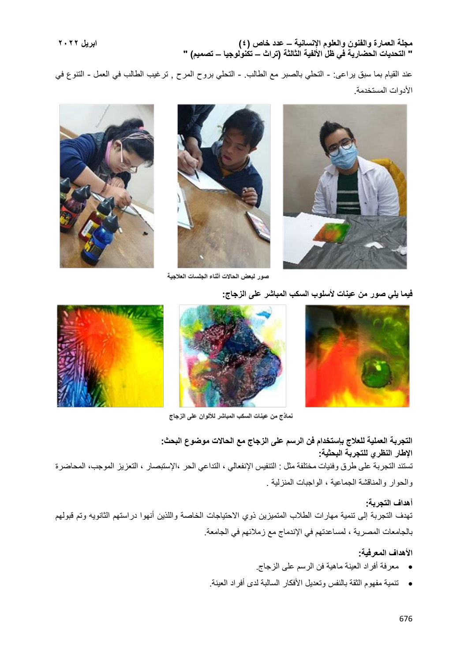عند القيام بما سبق يراعى: - التحلي بالصبر مع الطالب. - التحلي بروح المرح , ترغيب الطالب في العمل - التنوع في الأدوات المستخدمة.



صور لبعض الحالات أثناء الجلسات العلاجية

**فيما يلي صور من عينات ألسلوب السكب المباشر على الزجاج:**





نماذج من عينات السكب المباشر للألوان على الزجاج

**التجربة العملية للعالج بإستخدام فن الرسم على الزجاج مع الحاالت موضوع البحث: اإلطار النظري للتجربة البحثية:** تستند التجربة على طرق وفنيات مختلفة مثل : التنفيس اإلنفعالي ، التداعي الحر ،اإلستبصار ، التعزيز الموجب، المحاضرة والحوار والمناقشة الجماعية ، الواجبات المنزلية .

**أهداف التجربة:** تهدف التجربة إلى تنمية مهارات الطالب المتميزين ذوي االحتياجات الخاصة واللذين أنهوا دراستهم الثانويه وتم قبولهم بالجامعات المصرية ، لمساعدتهم في اإلندماج مع زمالئهم في الجامعة.

## **األهداف المعرفية:**

- معرفة أفراد العينة ماهية فن الرسم على الزجاج.
- تنمية مفهوم الثقة بالنفس وتعديل األفكار السالبة لدى أفراد العينة.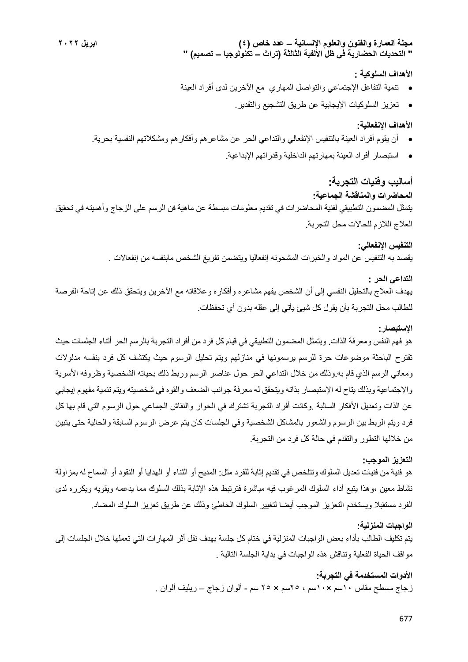## **األهداف السلوكية :**

- تنمية التفاعل اإلجتماعي والتواصل المهاري مع اآلخرين لدى أفراد العينة
	- تعزيز السلوكيات اإليجابية عن طريق التشجيع والتقدير.

## **األهداف اإلنفعالية:**

- أن يقوم أفراد العينة بالتنفيس اإلنفعالي والتداعي الحر عن مشاعرهم وأفكارهم ومشكالتهم النفسية بحرية.
	- استبصار أفراد العينة بمهارتهم الداخلية وقدراتهم اإلبداعية.

# **أساليب وفنيات التجربة:**

### **المحاضرات والمناقشة الجماعية:**

يتمثل المضمون التطبيقي لفنية المحاضرات في تقديم معلومات مبسطة عن ماهية فن الرسم على الزجاج وأهميته في تحقيق العالج الالزم للحاالت محل التجربة.

# **التنفيس اإلنفعالي:**

يقصد به التنفيس عن المواد والخبرات المشحونه إنفعاليا ويتضمن تفريغ الشخص مابنفسه من إنفعاالت .

# **التداعي الحر :**

يهدف العالج بالتحليل النفسي إلى أن الشخص يفهم مشاعره وأفكاره وعالقاته مع اآلخرين ويتحقق ذلك عن إتاحة الفرصة للطالب محل التجربة بأن يقول كل شيئ يأتي إلى عقله بدون أي تحفظات.

## **اإلستبصار:**

هو فهم النفس ومعرفة الذات. ويتمثل المضمون التطبيقي في قيام كل فرد من أفراد التجربة بالرسم الحر أثناء الجلسات حيث تقترح الباحثة موضوعات حرة للرسم يرسمونها في منازلهم ويتم تحليل الرسوم حيث يكتشف كل فرد بنفسه مدلوالت ومعاني الرسم الذي قام به.وذلك من خالل التداعي الحر حول عناصر الرسم وربط ذلك بحياته الشخصية وظروفه األسرية واإلجتماعية وبذلك يتاح له اإلستبصار بذاته ويتحقق له معرفة جوانب الضعف والقوه في شخصيته ويتم تنمية مفهوم إيجابي عن الذات وتعديل األفكار السالبة .وكانت أفراد التجربة تشترك في الحوار والنقاش الجماعي حول الرسوم التي قام بها كل فرد ويتم الربط بين الرسوم والشعور بالمشاكل الشخصية وفي الجلسات كان يتم عرض الرسوم السابقة والحالية حتى يتبين من خاللها التطور والتقدم في حالة كل فرد من التجربة.

## **التعزيز الموجب:**

هو فنية من فنيات تعديل السلوك وتتلخص في تقديم إثابة للفرد مثل: المديح أو الثناء أو الهدايا أو النقود أو السماح له بمزاولة نشاط معين ،وهذا يتبع أداء السلوك المرغوب فيه مباشرة فترتبط هذه اإلثابة بذلك السلوك مما يدعمه ويقويه ويكرره لدى الفرد مستقبال ويستخدم التعزيز الموجب أيضا لتغيير السلوك الخاطئ وذلك عن طريق تعزيز السلوك المضاد.

## **الواجبات المنزلية:**

يتم تكليف الطالب بأداء بعض الواجبات المنزلية في ختام كل جلسة بهدف نقل أثر المهارات التي تعملها خالل الجلسات إلى مواقف الحياة الفعلية وتناقش هذه الواجبات في بداية الجلسة التالية .

# **األدوات المستخدمة في التجربة:** زجاج مسطح مقاس 10سم ×10سم ، 25سم × 25 سم - ألوان زجاج – ريليف ألوان .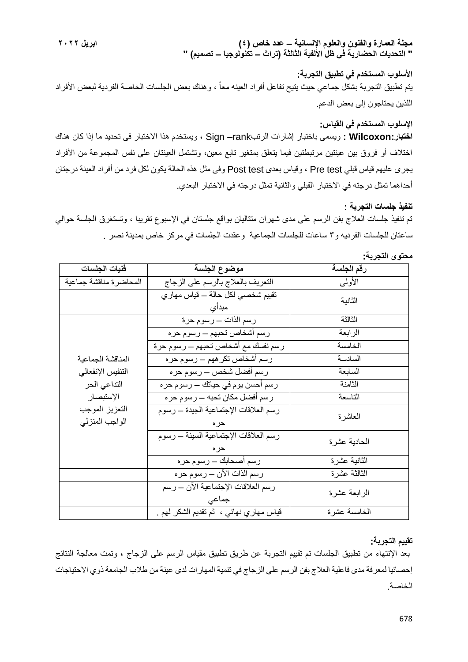**األسلوب المستخدم في تطبيق التجربة:** يتم تطبيق التجربة بشكل جماعي حيث يتيح تفاعل أفراد العينه معاً ، وهناك بعض الجلسات الخاصة الفردية لبعض الأفراد اللذين يحتاجون إلى بعض الدعم.

# **اإلسلوب المستخدم في القياس:**

**اختبار:Wilcoxon :** ويسمى باختبار إشارات الرتبrank –Sign ، ويستخدم هذا االختبار فى تحديد ما إذا كان هناك اختلاف أو فروق بين عينتين مرتبطتين فيما يتعلق بمتغير تابع معين، وتشتمل العينتان على نفس المجموعة من الأفراد يجرى عليهم قياس قبلي test Pre ، وقياس بعدى test Post وفى مثل هذه الحالة يكون لكل فرد من أفراد العينة درجتان أحداهما تمثل درجته في االختبار القبلي والثانية تمثل درجته في االختبار البعدي.

## **تنفيذ جلسات التجربة :**

تم تنفيذ جلسات العالج بفن الرسم على مدى شهران متتاليان بواقع جلستان في اإلسبوع تقريبا ، وتستغرق الجلسة حوالي ساعتان للجلسات الفرديه و3 ساعات للجلسات الجماعية وعقدت الجلسات في مركز خاص بمدينة نصر .

| فنيات الجلسات                                                                                           | موضوع الجلسة                                  | رقم الجلسة   |
|---------------------------------------------------------------------------------------------------------|-----------------------------------------------|--------------|
| المحاضرة مناقشة جماعية                                                                                  | التعريف بالعلاج بالرسم على الزجاج             | الأولىي      |
|                                                                                                         | نقييم شخصـي لكل حالة – قياس مهاري<br>مبدأى    | الثانية      |
|                                                                                                         | رسم الذات – رسوم حرة                          | الثالثة      |
| المناقشة الجماعية<br>التنفيس الإنفعالي<br>التداعي الحر<br>الإستبصار<br>التعزيز الموجب<br>الواجب المنزلي | رسم أشخاص تحبهم ـــ رسوم حره                  | الر ابعة     |
|                                                                                                         | رسم نفسك مع أشخاص تحبهم ـــ رسوم حرة          | الخامسة      |
|                                                                                                         | رسم أشخاص تكر ههم ـــ رسوم حره                | السادسة      |
|                                                                                                         |                                               | السابعة      |
|                                                                                                         | رسم أحسن يوم في حياتك — رسوم حر ه             | الثامنة      |
|                                                                                                         | رسم أفضل مكان تحبه – رسوم حره                 | التاسعة      |
|                                                                                                         | رسم العلاقات الإجتماعية الجيدة ــ رسوم        | العاشرة      |
|                                                                                                         | رسم العلاقات الإجتماعية السيئة ـــ رسوم       | الحادية عشرة |
|                                                                                                         | رسم أصحابك — رسوم حره                         | الثانية عشرة |
|                                                                                                         | رسم الذات الآن — رسوم حر ه                    | الثالثة عشرة |
|                                                                                                         | رسم العلاقات الإجتماعية الان ـــ رسم<br>جماعى | الرابعة عشرة |
|                                                                                                         | قياس مهاري نـهائـي ،  ثـم تقديم الشكر لـهم .  | الخامسة عشرة |

#### **محتوى التجربة:**

#### **تقييم التجربة:**

بعد اإلنتهاء من تطبيق الجلسات تم تقييم التجربة عن طريق تطبيق مقياس الرسم على الزجاج ، وتمت معالجة النتائج إحصائيا لمعرفة مدى فاعلية العالج بفن الرسم على الزجاج في تنمية المهارات لدى عينة من طالب الجامعة ذوي االحتياجات الخاصة.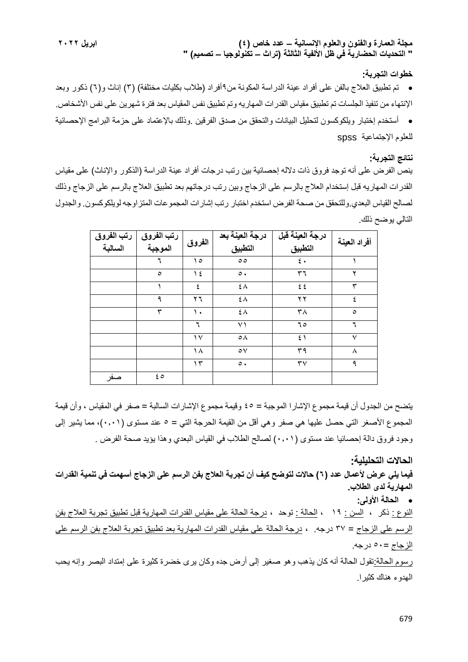#### **خطوات التجربة:**

 تم تطبيق العالج بالفن على أفراد عينة الدراسة المكونة من9أفراد )طالب بكليات مختلفة( )3( إناث و)6( ذكور وبعد اإلنتهاء من تنفيذ الجلسات تم تطبيق مقياس القدرات المهاريه وتم تطبيق نفس المقياس بعد فترة شهرين على نفس األشخاص. أستخدم إختبار ويلكوكسون لتحليل البيانات والتحقق من صدق الفرقين .وذلك باإلعتماد على حزمة البرامج اإلحصائية للعلوم اإلجتماعية spss

#### **نتائج التجربة:**

ينص الفرض على أنه توجد فروق ذات دالله إحصائية بين رتب درجات أفراد عينة الدراسة )الذكور واإلناث( على مقياس القدرات المهاريه قبل إستخدام العالج بالرسم على الزجاج وبين رتب درجاتهم بعد تطبيق العالج بالرسم على الزجاج وذلك لصالح القياس البعدي.وللتحقق من صحة الفرض استخدم اختبار رتب إشارات المجموعات المتزاوجه لويلكوكسون. والجدول التالي يوضح ذلك.

| رتب الفروق<br>السالبة | رتب الفروق<br>الموجبة | الفروق        | درجة العينة بعد<br>التطبيق | درجة العينة قبل<br>التطبيق | أفراد العينة |
|-----------------------|-----------------------|---------------|----------------------------|----------------------------|--------------|
|                       | ٦                     | ه ۱           | $\circ$                    | $\epsilon$ .               |              |
|                       | $\circ$               | $\frac{1}{2}$ | $\circ$ .                  | ٣٦                         | ۲            |
|                       |                       | ٤             | ٤٨                         | 25                         | ٣            |
|                       | ٩                     | ۲٦            | ٤٨                         | ۲۲                         |              |
|                       | ٣                     | ١.            | ٤٨                         | $\mathsf{r}_\Lambda$       | $\circ$      |
|                       |                       | ٦             | ۷١                         | 70                         |              |
|                       |                       | $\vee$        | $\circ \wedge$             | $\mathfrak{z}$             | $\checkmark$ |
|                       |                       | ۱۸            | $\circ \vee$               | ٣٩                         | Λ            |
|                       |                       | $\gamma$      | $\circ$ .                  | $\mathsf{r}\mathsf{v}$     | ٩            |
| صفر                   | ه ٤                   |               |                            |                            |              |

يتضح من الجدول أن قيمة مجموع اإلشارا الموجبة = 45 وقيمة مجموع اإلشارات السالبة = صفر في المقياس ، وأن قيمة المجموع األصغر التي حصل عليها هي صفر وهي أقل من القيمة الحرجة التي = 5 عند مستوى )0.01(، مما يشير إلى وجود فروق دالة إحصائيا عند مستوى (٠,٠١) لصالح الطلاب في القياس البعدي وهذا يؤيد صحة الفرض .

**الحاالت التحليلية: فيما يلي عرض ألعمال عدد )6( حاالت لتوضح كيف أن تجربة العالج بفن الرسم على الزجاج أسهمت في تنمية القدرات المهارية لدى الطالب. الحالة األولى:** النوع : ذكر **،** السن : 19 **،** الحالة : توحد **،** درجة الحالة على مقياس القدرات المهارية قبل تطبيق تجربة العالج بفن الرسم على الزجاج = 37 درجه. **،** درجة الحالة على مقياس القدرات المهارية بعد تطبيق تجربة العالج بفن الرسم على الزجاج =50 درجه. رسوم الحالة:تقول الحالة أنه كان يذهب وهو صغير إلى أرض جده وكان يرى خضرة كثيرة على إمتداد البصر وإنه يحب الهدوء هناك كثيرا.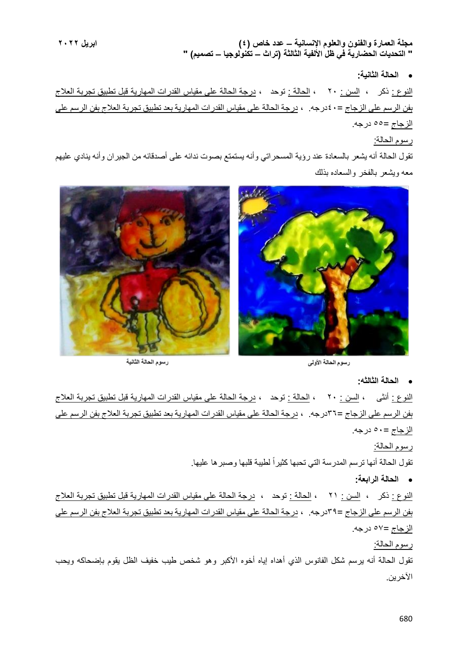**الحالة الثانية:**

النوع : ذكر ، السن : 20 ، الحالة : توحد ، درجة الحالة على مقياس القدرات المهارية قبل تطبيق تجربة العالج بفن الرسم على الزجاج =40درجه. ، درجة الحالة على مقياس القدرات المهارية بعد تطبيق تجربة العالج بفن الرسم على الزجاج =55 درجه.

# رسوم الحالة:

تقول الحالة أنه يشعر بالسعادة عند رؤية المسحراتي وأنه يستمتع بصوت ندائه على أصدقائه من الجيران وأنه ينادي عليهم معه ويشعر بالفخر والسعاده بذلك



رسوم الحالة الثانية

رسوم الحالة الأولى

**الحالة الثالثه:**

النوع : أنثى ، السن : 20 ، الحالة : توحد ، درجة الحالة على مقياس القدرات المهارية قبل تطبيق تجربة العالج بفن الرسم على الزجاج =36درجه. ، درجة الحالة على مقياس القدرات المهارية بعد تطبيق تجربة العالج بفن الرسم على الزجاج =50 درجه.

#### رسوم الحالة:

تقول الحالة أنها ترسم المدرسة التي تحبها كثيراً لطيبة قلبها وصبرها عليها.

**الحالة الرابعة:**

النوع : ذكر ، السن : 21 ، الحالة : توحد ، درجة الحالة على مقياس القدرات المهارية قبل تطبيق تجربة العالج بفن الرسم على الزجاج =39درجه. ، درجة الحالة على مقياس القدرات المهارية بعد تطبيق تجربة العالج بفن الرسم على الزجاج =57 درجه.

## رسوم الحالة:

تقول الحالة أنه يرسم شكل الفانوس الذي أهداه إياه أخوه الأكبر وهو شخص طيب خفيف الظل يقوم بإضحاكه ويحب اآلخرين.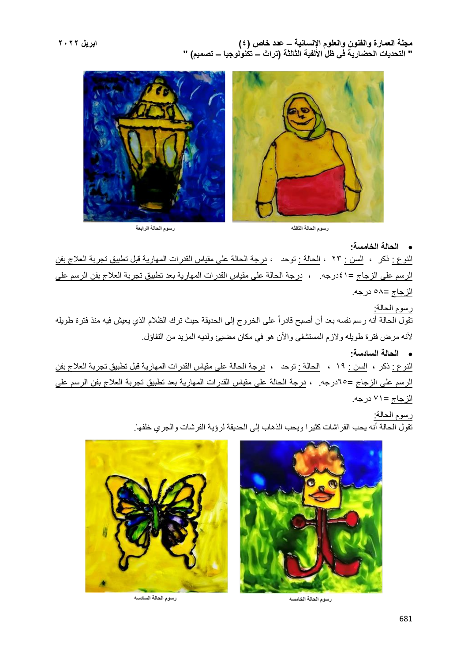

.<br>رسوم الحالة الرابعة

رسوم الحالة الثالثه

**الحالة الخامسة:**

النوع : ذكر ، السن : 23 ، الحالة : توحد ، درجة الحالة على مقياس القدرات المهارية قبل تطبيق تجربة العالج بفن الرسم على الزجاج =41درجه. ، درجة الحالة على مقياس القدرات المهارية بعد تطبيق تجربة العالج بفن الرسم على الزجاج =58 درجه.

رسوم الحالة: تقول الحالة أنه رسم نفسه بعد أن أصبح قادراً على الخروج إلى الحديقة حيث ترك الظالم الذي يعيش فيه منذ فترة طويله ألنه مرض فترة طويله والزم المستشفى واآلن هو في مكان مضيئ ولديه المزيد من التفاؤل.

 **الحالة السادسة:** النوع : ذكر ، السن : 19 ، الحالة : توحد ، درجة الحالة على مقياس القدرات المهارية قبل تطبيق تجربة العالج بفن الرسم على الزجاج =65درجه. ، درجة الحالة على مقياس القدرات المهارية بعد تطبيق تجربة العالج بفن الرسم على الزجاج =71 درجه.

> رسوم الحالة: تقول الحالة أنه يحب الفراشات كثيرا ويحب الذهاب إلى الحديقة لرؤية الفرشات والجري خلفها.



رسوم الحالة الخامسه



رسوم الحالة السادسه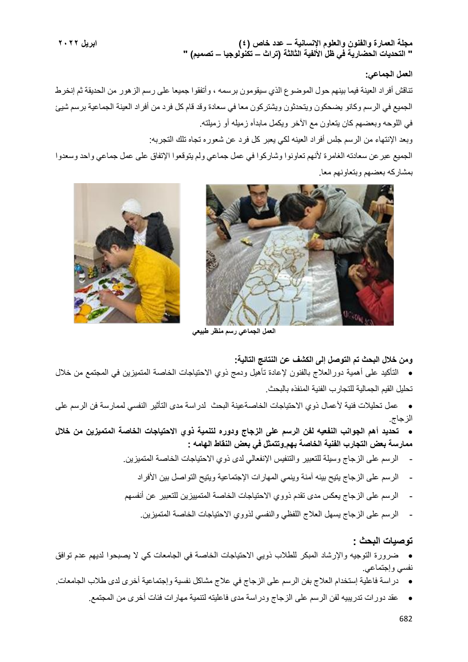## **العمل الجماعي:**

تناقش أفراد العينة فيما بينهم حول الموضوع الذي سيقومون برسمه ، وأتفقوا جميعا على رسم الزهور من الحديقة ثم إنخرط الجميع في الرسم وكانو يضحكون ويتحدثون ويشتركون معا في سعادة وقد قام كل فرد من أفراد العينة الجماعية برسم شيئ في اللوحه وبعضهم كان يتعاون مع اآلخر ويكمل مابدأه زميله أو زميلته.

وبعد اإلنتهاء من الرسم جلس أفراد العينه لكي يعبر كل فرد عن شعوره تجاه تلك التجربه:

الجميع عبرعن سعادته الغامرة ألنهم تعاونوا وشاركوا في عمل جماعي ولم يتوقعوا اإلتفاق على عمل جماعي واحد وسعدوا بمشاركه بعضهم وبتعاونهم معا.





**العمل الجماعي رسم منظر طبيعي**

#### **ومن خالل البحث تم التوصل إلى الكشف عن النتائج التالية:**

- التأكيد على أهمية دورالعالج بالفنون إلعادة تأهيل ودمج ذوي االحتياجات الخاصة المتميزين في المجتمع من خالل تحليل القيم الجمالية للتجارب الفنية المنفذه بالبحث.
- عمل تحليالت فنية ألعمال ذوي االحتياجات الخاصةعينة البحث لدراسة مدى التأثير النفسي لممارسة فن الرسم على الزجاج.
- **تحديد أهم الجوانب النفعيه لفن الرسم على الزجاج ودوره لتنمية ذوي االحتياجات الخاصة المتميزين من خالل ممارسة بعض التجارب الفنية الخاصة بهم.وتتمثل في بعض النقاط الهامه :**
	- الرسم على الزجاج وسيلة للتعبير والتنفيس اإلنفعالي لدى ذوي االحتياجات الخاصة المتميزين.
		- الرسم على الزجاج يتيح بيئه آمنة وينمي المهارات اإلجتماعية ويتيح التواصل بين األفراد
	- الرسم على الزجاج يعكس مدى تقدم ذووي االحتياجات الخاصة المتمييزين للتعبير عن أنفسهم
		- الرسم على الزجاج يسهل العالج اللفظي والنفسي لذووي االحتياجات الخاصة المتميزين.

#### **توصيات البحث :**

- ضرورة التوجيه والإرشاد المبكر للطلاب ذويي الاحتياجات الخاصة في الجامعات كي لا يصبحوا لديهم عدم توافق نفسي وإجتماعي.
- دراسة فاعلية إستخدام العالج بفن الرسم على الزجاج في عالج مشاكل نفسية وإجتماعية أخرى لدى طالب الجامعات.
	- عقد دورات تدريبيه لفن الرسم على الزجاج ودراسة مدى فاعليته لتنمية مهارات فئات أخرى من المجتمع.